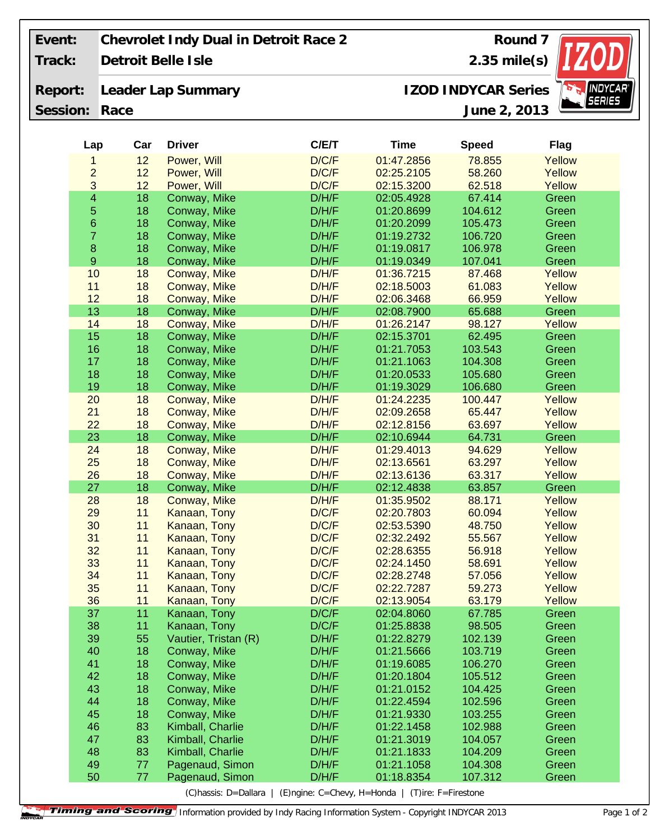| Event:   | Chevrolet Indy Dual in Detroit Race 2<br>Round 7 |                |                              |                                                  |                          |                  |                 |
|----------|--------------------------------------------------|----------------|------------------------------|--------------------------------------------------|--------------------------|------------------|-----------------|
| Track:   | Detroit Belle Isle                               | $2.35$ mile(s) |                              |                                                  |                          |                  |                 |
| Report:  |                                                  |                | Leader Lap Summary           | <b>INDYCAR</b> ®<br><b>IZOD INDYCAR Series</b>   |                          |                  |                 |
| Session: | Race                                             |                |                              |                                                  | June 2, 2013             | <b>SERIES</b>    |                 |
|          |                                                  |                |                              |                                                  |                          |                  |                 |
|          | Lap                                              | Car            | <b>Driver</b>                | C/ET                                             | <b>Time</b>              | <b>Speed</b>     | <b>Flag</b>     |
|          | 1                                                | 12             | Power, Will                  | D/C/F                                            | 01:47.2856               | 78.855           | Yellow          |
|          | $\overline{2}$                                   | 12             | Power, Will                  | D/C/F                                            | 02:25.2105               | 58.260           | Yellow          |
|          | 3                                                | 12             | Power, Will                  | D/C/F                                            | 02:15.3200               | 62.518           | Yellow          |
|          | $\overline{\mathbf{4}}$                          | 18             | Conway, Mike                 | D/H/F                                            | 02:05.4928               | 67.414           | Green           |
|          | $\sqrt{5}$                                       | 18             | Conway, Mike                 | D/H/F                                            | 01:20.8699               | 104.612          | Green           |
|          | $\mathbf 6$                                      | 18             | Conway, Mike                 | D/H/F                                            | 01:20.2099               | 105.473          | Green           |
|          | $\overline{\mathbf{7}}$                          | 18             | Conway, Mike                 | D/H/F                                            | 01:19.2732               | 106.720          | Green           |
|          | $\bf8$                                           | 18             | Conway, Mike                 | D/H/F                                            | 01:19.0817               | 106.978          | Green           |
|          | $\boldsymbol{9}$                                 | 18             | Conway, Mike                 | D/H/F                                            | 01:19.0349               | 107.041          | Green           |
|          | 10                                               | 18             | Conway, Mike                 | D/H/F                                            | 01:36.7215               | 87.468           | Yellow          |
|          | 11                                               | 18             | Conway, Mike                 | D/H/F                                            | 02:18.5003               | 61.083           | Yellow          |
|          | 12                                               | 18             | Conway, Mike                 | D/H/F                                            | 02:06.3468               | 66.959           | Yellow          |
|          | 13                                               | 18             | Conway, Mike                 | D/H/F                                            | 02:08.7900               | 65.688           | Green           |
|          | 14                                               | 18             | Conway, Mike                 | D/H/F                                            | 01:26.2147               | 98.127           | Yellow          |
|          | 15                                               | 18             | Conway, Mike                 | D/H/F                                            | 02:15.3701               | 62.495           | Green           |
|          | 16                                               | 18             | Conway, Mike                 | D/H/F                                            | 01:21.7053               | 103.543          | Green           |
|          | 17                                               | 18             | Conway, Mike                 | D/H/F                                            | 01:21.1063               | 104.308          | Green           |
|          | 18                                               | 18             | Conway, Mike                 | D/H/F                                            | 01:20.0533               | 105.680          | Green           |
|          | 19                                               | 18             | Conway, Mike                 | D/H/F                                            | 01:19.3029               | 106.680          | Green           |
|          | 20                                               | 18             | Conway, Mike                 | D/H/F                                            | 01:24.2235               | 100.447          | Yellow          |
|          | 21<br>22                                         | 18<br>18       | Conway, Mike                 | D/H/F                                            | 02:09.2658               | 65.447           | Yellow          |
|          | 23                                               | 18             | Conway, Mike<br>Conway, Mike | D/H/F<br>D/H/F                                   | 02:12.8156<br>02:10.6944 | 63.697<br>64.731 | Yellow<br>Green |
|          | 24                                               | 18             | Conway, Mike                 | D/H/F                                            | 01:29.4013               | 94.629           | Yellow          |
|          | 25                                               | 18             | Conway, Mike                 | D/H/F                                            | 02:13.6561               | 63.297           | Yellow          |
|          | 26                                               | 18             | Conway, Mike                 | D/H/F                                            | 02:13.6136               | 63.317           | Yellow          |
|          | 27                                               | 18             | Conway, Mike                 | D/H/F                                            | 02:12.4838               | 63.857           | Green           |
|          | 28                                               | 18             | Conway, Mike                 | D/H/F                                            | 01:35.9502               | 88.171           | Yellow          |
|          | 29                                               | 11             | Kanaan, Tony                 | D/C/F                                            | 02:20.7803               | 60.094           | Yellow          |
|          | 30                                               | 11             | Kanaan, Tony                 | D/C/F                                            | 02:53.5390               | 48.750           | Yellow          |
|          | 31                                               | 11             | Kanaan, Tony                 | D/C/F                                            | 02:32.2492               | 55.567           | Yellow          |
|          | 32                                               | 11             | Kanaan, Tony                 | D/C/F                                            | 02:28.6355               | 56.918           | Yellow          |
|          | 33                                               | 11             | Kanaan, Tony                 | D/C/F                                            | 02:24.1450               | 58.691           | Yellow          |
|          | 34                                               | 11             | Kanaan, Tony                 | D/C/F                                            | 02:28.2748               | 57.056           | Yellow          |
|          | 35                                               | 11             | Kanaan, Tony                 | D/C/F                                            | 02:22.7287               | 59.273           | Yellow          |
|          | 36                                               | 11             | Kanaan, Tony                 | D/C/F                                            | 02:13.9054               | 63.179           | Yellow          |
|          | 37                                               | 11             | Kanaan, Tony                 | D/C/F                                            | 02:04.8060               | 67.785           | Green           |
|          | 38                                               | 11             | Kanaan, Tony                 | D/C/F                                            | 01:25.8838               | 98.505           | Green           |
|          | 39                                               | 55             | Vautier, Tristan (R)         | D/H/F                                            | 01:22.8279               | 102.139          | Green           |
|          | 40                                               | 18             | Conway, Mike                 | D/H/F                                            | 01:21.5666               | 103.719          | Green           |
|          | 41                                               | 18             | Conway, Mike                 | D/H/F                                            | 01:19.6085               | 106.270          | Green           |
|          | 42                                               | 18             | Conway, Mike                 | D/H/F                                            | 01:20.1804               | 105.512          | Green           |
|          | 43                                               | 18             | Conway, Mike                 | D/H/F                                            | 01:21.0152               | 104.425          | Green           |
|          | 44                                               | 18             | Conway, Mike                 | D/H/F                                            | 01:22.4594               | 102.596          | Green           |
|          | 45                                               | 18             | Conway, Mike                 | D/H/F                                            | 01:21.9330               | 103.255          | Green           |
|          | 46                                               | 83             | Kimball, Charlie             | D/H/F                                            | 01:22.1458               | 102.988          | Green           |
|          | 47                                               | 83             | Kimball, Charlie             | D/H/F                                            | 01:21.3019               | 104.057          | Green           |
|          | 48                                               | 83             | Kimball, Charlie             | D/H/F                                            | 01:21.1833               | 104.209          | Green           |
|          | 49                                               | 77             | Pagenaud, Simon              | D/H/F                                            | 01:21.1058               | 104.308          | Green           |
|          | 50                                               | 77             | Pagenaud, Simon              | D/H/F                                            | 01:18.8354               | 107.312          | Green           |
|          |                                                  |                | (C) hassis: D=Dallara        | (E)ngine: C=Chevy, H=Honda   (T)ire: F=Firestone |                          |                  |                 |